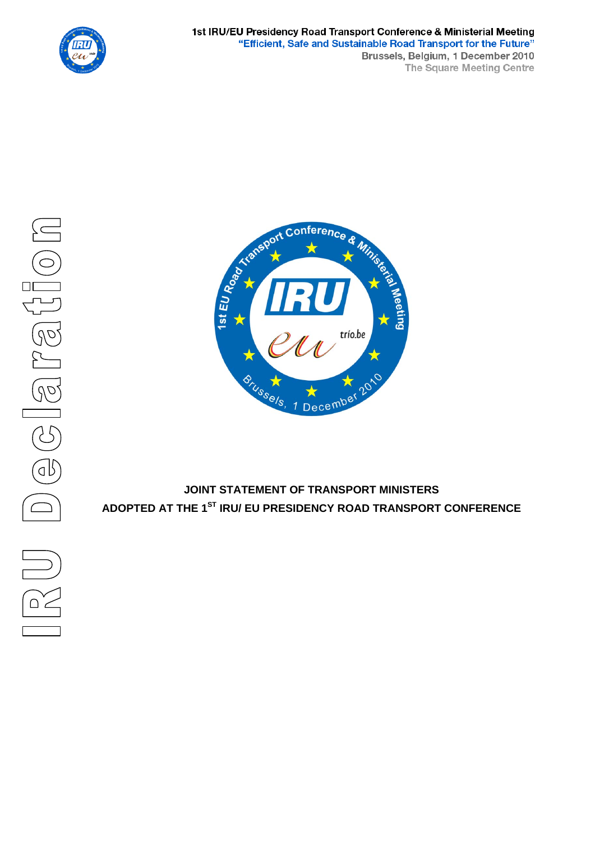



# **JOINT STATEMENT OF TRANSPORT MINISTERS ADOPTED AT THE 1ST IRU/ EU PRESIDENCY ROAD TRANSPORT CONFERENCE**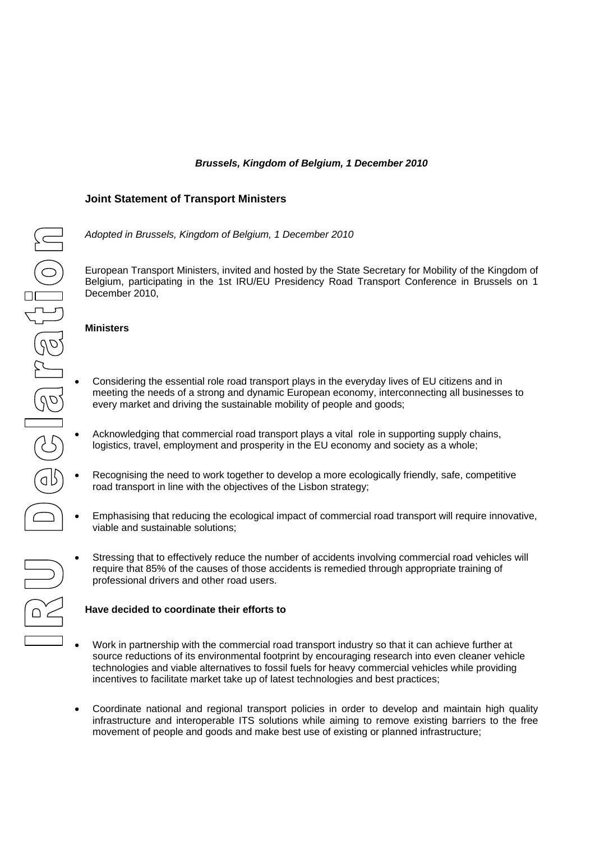## *Brussels, Kingdom of Belgium, 1 December 2010*

## **Joint Statement of Transport Ministers**

*Adopted in Brussels, Kingdom of Belgium, 1 December 2010* 

European Transport Ministers, invited and hosted by the State Secretary for Mobility of the Kingdom of Belgium, participating in the 1st IRU/EU Presidency Road Transport Conference in Brussels on 1 December 2010,

#### **Ministers**

- Considering the essential role road transport plays in the everyday lives of EU citizens and in meeting the needs of a strong and dynamic European economy, interconnecting all businesses to every market and driving the sustainable mobility of people and goods;
- Acknowledging that commercial road transport plays a vital role in supporting supply chains, logistics, travel, employment and prosperity in the EU economy and society as a whole;
- Recognising the need to work together to develop a more ecologically friendly, safe, competitive road transport in line with the objectives of the Lisbon strategy;
- Emphasising that reducing the ecological impact of commercial road transport will require innovative, viable and sustainable solutions;
- Stressing that to effectively reduce the number of accidents involving commercial road vehicles will require that 85% of the causes of those accidents is remedied through appropriate training of professional drivers and other road users.

#### **Have decided to coordinate their efforts to**

- Work in partnership with the commercial road transport industry so that it can achieve further at source reductions of its environmental footprint by encouraging research into even cleaner vehicle technologies and viable alternatives to fossil fuels for heavy commercial vehicles while providing incentives to facilitate market take up of latest technologies and best practices;
- Coordinate national and regional transport policies in order to develop and maintain high quality infrastructure and interoperable ITS solutions while aiming to remove existing barriers to the free movement of people and goods and make best use of existing or planned infrastructure;